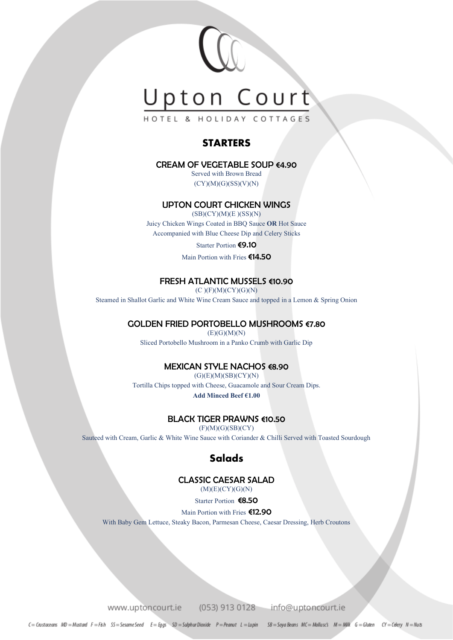

HOTEL & HOLIDAY COTTAGES

#### **STARTERS**

#### CREAM OF VEGETABLE SOLID  $64.90$

Served with Brown Bread  $(CY)(M)(G)(SS)(V)(N)$ 

#### UPTON COURT CHICKEN WINGS

 $(SB)(CY)(M)(E)(SS)(N)$ 

Juicy Chicken Wings Coated in BBQ Sauce **OR** Hot Sauce Accompanied with Blue Cheese Dip and Celery Sticks

Starter Portion €9.10

Main Portion with Fries €14.50

#### FRESH ATLANTIC MUSSELS €10.90

 $(C)(F)(M)(CY)(G)(N)$ 

Steamed in Shallot Garlic and White Wine Cream Sauce and topped in a Lemon & Spring Onion

#### GOLDEN FRIED PORTOBELLO MUSHROOMS €7.80

 $(E)(G)(M)(N)$ 

Sliced Portobello Mushroom in a Panko Crumb with Garlic Dip

#### MEXICAN STYLE NACHOS €8.90

 $(G)(E)(M)(SB)(CY)(N)$ Tortilla Chips topped with Cheese, Guacamole and Sour Cream Dips. **Add Minced Beef €1.00**

#### BLACK TIGER PRAWNS €10.50

 $(F)(M)(G)(SB)(CY)$ 

Sauteed with Cream, Garlic & White Wine Sauce with Coriander & Chilli Served with Toasted Sourdough

#### **Salads**

#### CLASSIC CAESAR SALAD

(M)(E)(CY)(G)(N)

Starter Portion €8.50

Main Portion with Fries €12.90

With Baby Gem Lettuce, Steaky Bacon, Parmesan Cheese, Caesar Dressing, Herb Croutons

www.uptoncourt.ie (053) 913 0128 info@uptoncourt.ie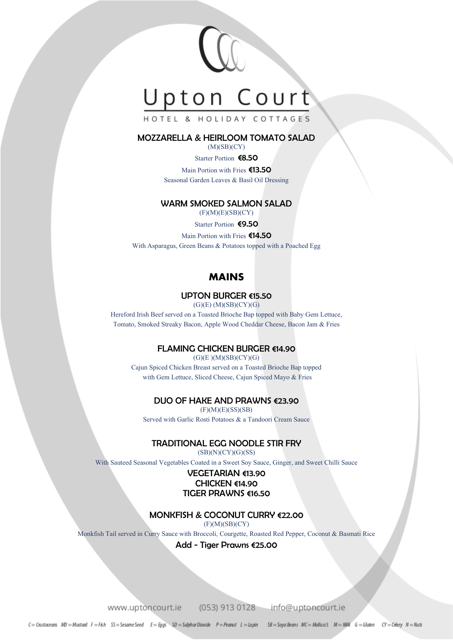

HOTEL & HOLIDAY COTTAGES

#### MOZZARELLA & HEIRLOOM TOMATO SALAD

 $(M)(SB)(CY)$ 

#### Starter Portion €8.50

Main Portion with Fries €13.50 Seasonal Garden Leaves & Basil Oil Dressing

#### WARM SMOKED SALMON SALAD

 $(F)(M)(E)(SB)(CY)$ 

Starter Portion €9.50

Main Portion with Fries €14.50 With Asparagus, Green Beans & Potatoes topped with a Poached Egg

#### MAINS

#### UPTON BURGER €15.50

 $(G)(E) (M)(SB)(CY)(G)$ 

Hereford Irish Beef served on a Toasted Brioche Bap topped with Baby Gem Lettuce, Tomato, Smoked Streaky Bacon, Apple Wood Cheddar Cheese, Bacon Jam & Fries

#### FLAMING CHICKEN BURGER €14.90

 $(G)(E)(M)(SB)(CY)(G)$ Cajun Spiced Chicken Breast served on a Toasted Brioche Bap topped with Gem Lettuce, Sliced Cheese, Cajun Spiced Mayo & Fries

#### DUO OF HAKE AND PRAWNS €23.90

 $(F)(M)(E)(SS)(SB)$ Served with Garlic Rosti Potatoes & a Tandoori Cream Sauce

#### TRADITIONAL EGG NOODLE STIR FRY

(SB)(N)(CY)(G)(SS)

With Sauteed Seasonal Vegetables Coated in a Sweet Soy Sauce, Ginger, and Sweet Chilli Sauce

#### VEGETARIAN €13.90 CHICKEN €14.90 TIGER PRAWNS €16.50

#### MONKFISH & COCONUT CURRY €22.00

 $(F)(M)(SB)(CY)$ 

Monkfish Tail served in Curry Sauce with Broccoli, Courgette, Roasted Red Pepper, Coconut & Basmati Rice

Add - Tiger Prawns €25.00

www.uptoncourt.ie (053) 913 0128 info@uptoncourt.ie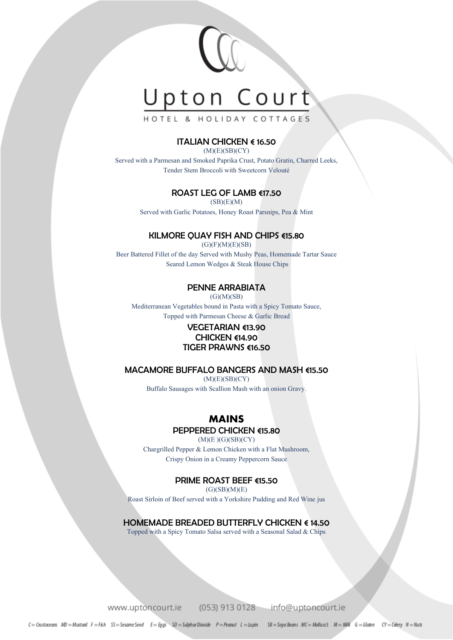

HOTEL & HOLIDAY COTTAGES

#### ITALIAN CHICKEN € 16.50

 $(M)(E)(SB)(CY)$ 

Served with a Parmesan and Smoked Paprika Crust, Potato Gratin, Charred Leeks, Tender Stem Broccoli with Sweetcorn Velouté

#### ROAST LEG OF LAMB €17.50

 $(SB)(E)(M)$ 

Served with Garlic Potatoes, Honey Roast Parsnips, Pea & Mint

#### KILMORE QUAY FISH AND CHIPS €15.80

 $(G)(F)(M)(E)(SB)$ Beer Battered Fillet of the day Served with Mushy Peas, Homemade Tartar Sauce Seared Lemon Wedges & Steak House Chips

#### PENNE ARRABIATA

 $(G)(M)(SB)$ 

Mediterranean Vegetables bound in Pasta with a Spicy Tomato Sauce, Topped with Parmesan Cheese & Garlic Bread

#### VEGETARIAN €13.90 CHICKEN €14.90 TIGER PRAWNS €16.50

#### MACAMORE BUFFALO BANGERS AND MASH €15.50

 $(M)(E)(SB)(CY)$ Buffalo Sausages with Scallion Mash with an onion Gravy.

#### MAINS

#### PEPPERED CHICKEN €15.80

 $(M)(E)(G)(SB)(CY)$ Chargrilled Pepper & Lemon Chicken with a Flat Mushroom, Crispy Onion in a Creamy Peppercorn Sauce

#### PRIME ROAST BEEF €15.50

 $(G)(SB)(M)(E)$ 

Roast Sirloin of Beef served with a Yorkshire Pudding and Red Wine jus

HOMEMADE BREADED BUTTERFLY CHICKEN € 14.50

Topped with a Spicy Tomato Salsa served with a Seasonal Salad & Chips

www.uptoncourt.ie (053) 913 0128 info@uptoncourt.ie

C= Crustaceans MD = Mustard F=F&h SS=Sesame Seed E= Eggs SD = Sulphur Dioxide P=Peanut L = Lupin SB = Saya Beans MC = Mollusc's M = MWK G = Gluten CY = Celery N = Nuts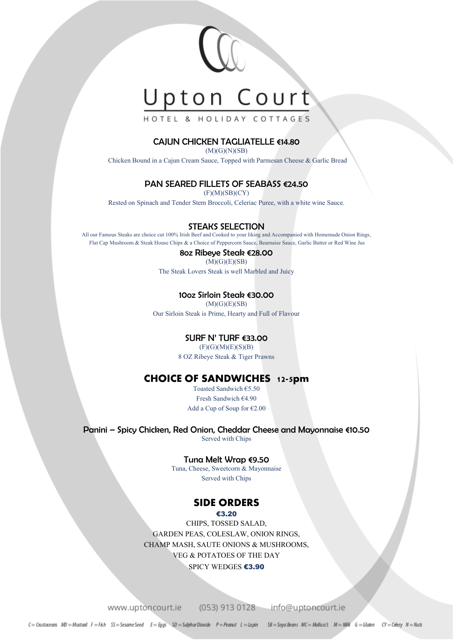

HOTEL & HOLIDAY COTTAGES

#### CAJUN CHICKEN TAGLIATELLE €14.80

 $(M)(G)(N)(SB)$ 

Chicken Bound in a Cajun Cream Sauce, Topped with Parmesan Cheese & Garlic Bread

#### PAN SEARED FILLETS OF SEABASS €24.50

 $(F)(M)(SB)(CY)$ 

Rested on Spinach and Tender Stem Broccoli, Celeriac Puree, with a white wine Sauce.

#### STEAKS SELECTION

All our Famous Steaks are choice cut 100% Irish Beef and Cooked to your liking and Accompanied with Homemade Onion Rings, Flat Cap Mushroom & Steak House Chips & a Choice of Peppercorn Sauce, Bearnaise Sauce, Garlic Butter or Red Wine Jus

#### 8oz Ribeye Steak €28.00  $(M)(G)(E)(SB)$

The Steak Lovers Steak is well Marbled and Juicy

#### 10oz Sirloin Steak €30.00

 $(M)(G)(E)(SB)$ 

Our Sirloin Steak is Prime, Hearty and Full of Flavour

#### SURF N' TURF €33.00

 $(F)(G)(M)(E)(S)(B)$ 

8 OZ Ribeye Steak & Tiger Prawns

#### CHOICE OF SANDWICHES 12-5pm

Toasted Sandwich €5.50 Fresh Sandwich €4.90 Add a Cup of Soup for €2.00

#### Panini – Spicy Chicken, Red Onion, Cheddar Cheese and Mayonnaise €10.50

Served with Chips

#### Tuna Melt Wrap €9.50

Tuna, Cheese, Sweetcorn & Mayonnaise Served with Chips

#### SIDE ORDERS

#### €3.20

CHIPS, TOSSED SALAD, GARDEN PEAS, COLESLAW, ONION RINGS, CHAMP MASH, SAUTE ONIONS & MUSHROOMS, VEG & POTATOES OF THE DAY SPICY WEDGES €3.90

www.uptoncourt.ie

(053) 913 0128 info@uptoncourt.ie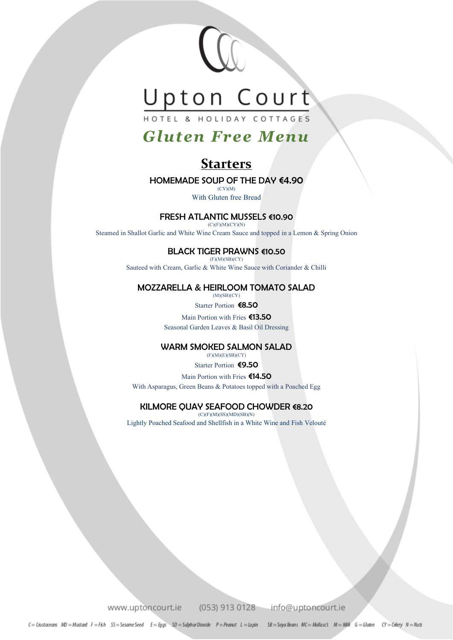

## *Gluten Free Menu*

## **Starters**

#### HOMEMADE SOUP OF THE DAY €4.90

 $(CY)(M)$ With Gluten free Bread

#### FRESH ATLANTIC MUSSELS €10.90

(C)(F)(M)(CY)(N)

Steamed in Shallot Garlic and White Wine Cream Sauce and topped in a Lemon & Spring Onion

#### BLACK TIGER PRAWNS €10.50

(F)(M)(SB)(CY)

Sauteed with Cream, Garlic & White Wine Sauce with Coriander & Chilli

#### MOZZARELLA & HEIRLOOM TOMATO SALAD  $(M)(SB)(CY)$

Starter Portion €8.50

Main Portion with Fries €13.50 Seasonal Garden Leaves & Basil Oil Dressing

#### WARM SMOKED SALMON SALAD

(F)(M)(E)(SB)(CY) Starter Portion €9.50

Main Portion with Fries €14.50

With Asparagus, Green Beans & Potatoes topped with a Poached Egg

#### KILMORE QUAY SEAFOOD CHOWDER €8.20  $(C)(F)(M)(SS)(MD)(SB)(N)$

Lightly Poached Seafood and Shellfish in a White Wine and Fish Velouté

www.uptoncourt.ie

(053) 913 0128

info@uptoncourt.ie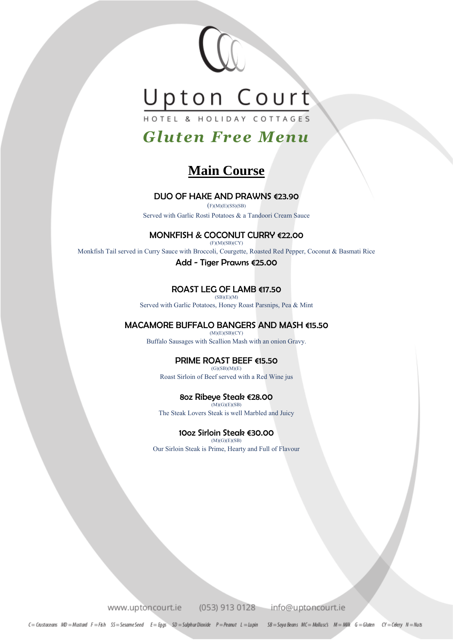

## *Gluten Free Menu*

## **Main Course**

#### DUO OF HAKE AND PRAWNS €23.90

 $(F)(M)(E)(SS)(SB)$ Served with Garlic Rosti Potatoes & a Tandoori Cream Sauce

#### MONKFISH & COCONUT CURRY €22.00

 $(F)(M)(SB)(CY)$ 

Monkfish Tail served in Curry Sauce with Broccoli, Courgette, Roasted Red Pepper, Coconut & Basmati Rice

Add - Tiger Prawns €25.00

#### ROAST LEG OF LAMB €17.50  $(SB)(E)(M)$

Served with Garlic Potatoes, Honey Roast Parsnips, Pea & Mint

#### MACAMORE BUFFALO BANGERS AND MASH €15.50

 $(M)(E)(SB)(CY)$ Buffalo Sausages with Scallion Mash with an onion Gravy.

#### PRIME ROAST BEEF €15.50

 $(G)(SB)(M)(E)$ Roast Sirloin of Beef served with a Red Wine jus

#### 8oz Ribeye Steak €28.00

 $(M)(G)(E)(SB)$ The Steak Lovers Steak is well Marbled and Juicy

#### 10oz Sirloin Steak €30.00 (M)(G)(E)(SB)

Our Sirloin Steak is Prime, Hearty and Full of Flavour

www.uptoncourt.ie (053) 913 0128 info@uptoncourt.ie

C= Crustaceans MD = Mustard F=F&h SS=SesameSeed E= Eggs SD = Sulphur Dioxide P=Peanut L = Lupin SB = Saya Beans MC = Mollusc's M = MWK G = Gluten CY = Celery N = Nuts